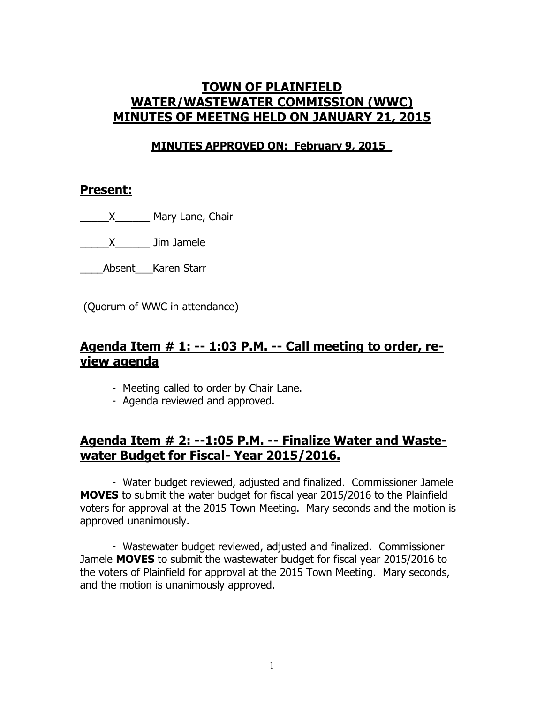# **TOWN OF PLAINFIELD WATER/WASTEWATER COMMISSION (WWC) MINUTES OF MEETNG HELD ON JANUARY 21, 2015**

#### **MINUTES APPROVED ON: February 9, 2015\_**

#### **Present:**

\_\_\_\_\_X\_\_\_\_\_\_ Mary Lane, Chair

\_\_\_\_\_X\_\_\_\_\_\_ Jim Jamele

Absent Karen Starr

(Quorum of WWC in attendance)

#### **Agenda Item # 1: -- 1:03 P.M. -- Call meeting to order, review agenda**

- Meeting called to order by Chair Lane.
- Agenda reviewed and approved.

# **Agenda Item # 2: --1:05 P.M. -- Finalize Water and Wastewater Budget for Fiscal- Year 2015/2016.**

- Water budget reviewed, adjusted and finalized. Commissioner Jamele **MOVES** to submit the water budget for fiscal year 2015/2016 to the Plainfield voters for approval at the 2015 Town Meeting. Mary seconds and the motion is approved unanimously.

- Wastewater budget reviewed, adjusted and finalized. Commissioner Jamele **MOVES** to submit the wastewater budget for fiscal year 2015/2016 to the voters of Plainfield for approval at the 2015 Town Meeting. Mary seconds, and the motion is unanimously approved.